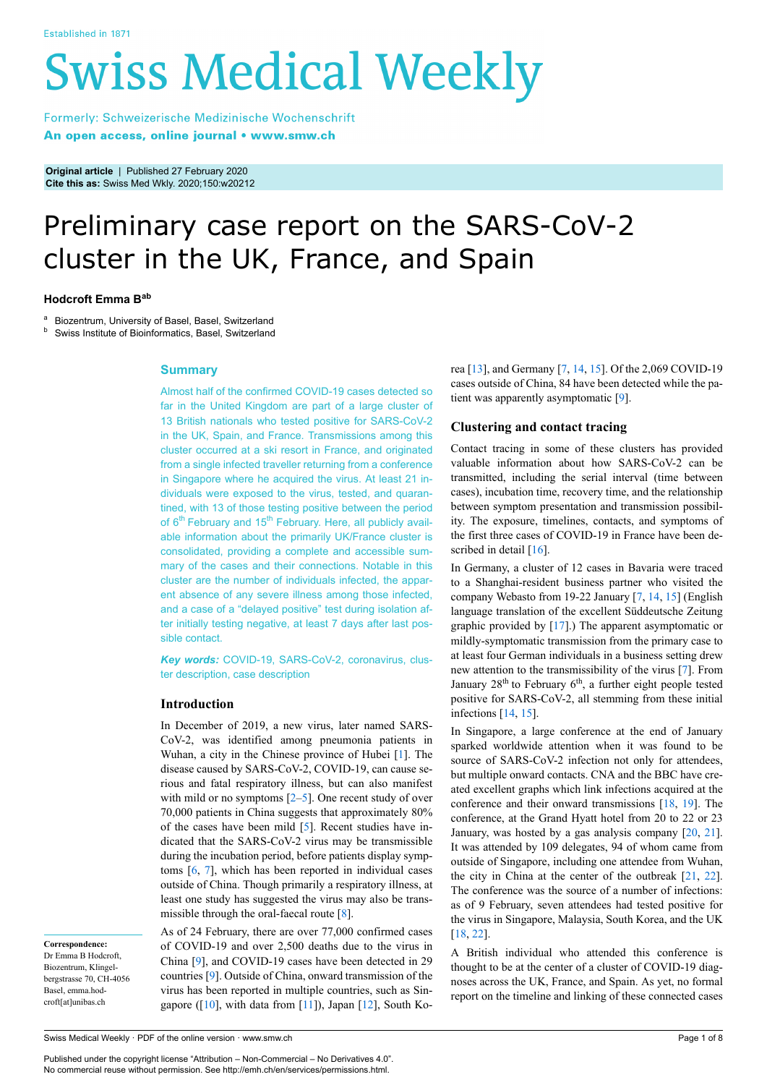# **Swiss Medical Weekly**

Formerly: Schweizerische Medizinische Wochenschrift An open access, online journal • www.smw.ch

**Original article** | Published 27 February 2020 **Cite this as:** Swiss Med Wkly. 2020;150:w20212

# Preliminary case report on the SARS-CoV-2 cluster in the UK, France, and Spain

#### **Hodcroft Emma Bab**

Biozentrum, University of Basel, Basel, Switzerland

**b** Swiss Institute of Bioinformatics, Basel, Switzerland

#### **Summary**

Almost half of the confirmed COVID-19 cases detected so far in the United Kingdom are part of a large cluster of 13 British nationals who tested positive for SARS-CoV-2 in the UK, Spain, and France. Transmissions among this cluster occurred at a ski resort in France, and originated from a single infected traveller returning from a conference in Singapore where he acquired the virus. At least 21 individuals were exposed to the virus, tested, and quarantined, with 13 of those testing positive between the period of 6<sup>th</sup> February and 15<sup>th</sup> February. Here, all publicly available information about the primarily UK/France cluster is consolidated, providing a complete and accessible summary of the cases and their connections. Notable in this cluster are the number of individuals infected, the apparent absence of any severe illness among those infected, and a case of a "delayed positive" test during isolation after initially testing negative, at least 7 days after last possible contact.

*Key words:* COVID-19, SARS-CoV-2, coronavirus, cluster description, case description

#### **Introduction**

In December of 2019, a new virus, later named SARS-CoV-2, was identified among pneumonia patients in Wuhan, a city in the Chinese province of Hubei [\[1\]](#page-5-0). The disease caused by SARS-CoV-2, COVID-19, can cause serious and fatal respiratory illness, but can also manifest with mild or no symptoms  $[2-5]$  $[2-5]$ . One recent study of over 70,000 patients in China suggests that approximately 80% of the cases have been mild [[5](#page-5-2)]. Recent studies have indicated that the SARS-CoV-2 virus may be transmissible during the incubation period, before patients display symptoms [[6](#page-5-3), [7](#page-5-4)], which has been reported in individual cases outside of China. Though primarily a respiratory illness, at least one study has suggested the virus may also be trans-missible through the oral-faecal route [[8](#page-5-5)].

**Correspondence:** Dr Emma B Hodcroft, Biozentrum, Klingelbergstrasse 70, CH-4056 Basel, emma.hodcroft[at]unibas.ch

As of 24 February, there are over 77,000 confirmed cases of COVID-19 and over 2,500 deaths due to the virus in China [[9](#page-5-6)], and COVID-19 cases have been detected in 29 countries [[9](#page-5-6)]. Outside of China, onward transmission of the virus has been reported in multiple countries, such as Singapore ( $[10]$  $[10]$ , with data from  $[11]$ ), Japan  $[12]$  $[12]$ , South Korea [\[13](#page-5-10)], and Germany [[7](#page-5-4), [14,](#page-5-11) [15\]](#page-5-12). Of the 2,069 COVID-19 cases outside of China, 84 have been detected while the patient was apparently asymptomatic [[9](#page-5-6)].

#### **Clustering and contact tracing**

Contact tracing in some of these clusters has provided valuable information about how SARS-CoV-2 can be transmitted, including the serial interval (time between cases), incubation time, recovery time, and the relationship between symptom presentation and transmission possibility. The exposure, timelines, contacts, and symptoms of the first three cases of COVID-19 in France have been de-scribed in detail [[16\]](#page-5-13).

In Germany, a cluster of 12 cases in Bavaria were traced to a Shanghai-resident business partner who visited the company Webasto from 19-22 January [\[7,](#page-5-4) [14](#page-5-11), [15\]](#page-5-12) (English language translation of the excellent Süddeutsche Zeitung graphic provided by [[17\]](#page-5-14).) The apparent asymptomatic or mildly-symptomatic transmission from the primary case to at least four German individuals in a business setting drew new attention to the transmissibility of the virus [[7](#page-5-4)]. From January  $28<sup>th</sup>$  to February  $6<sup>th</sup>$ , a further eight people tested positive for SARS-CoV-2, all stemming from these initial infections [[14,](#page-5-11) [15](#page-5-12)].

In Singapore, a large conference at the end of January sparked worldwide attention when it was found to be source of SARS-CoV-2 infection not only for attendees, but multiple onward contacts. CNA and the BBC have created excellent graphs which link infections acquired at the conference and their onward transmissions [[18,](#page-5-15) [19\]](#page-5-16). The conference, at the Grand Hyatt hotel from 20 to 22 or 23 January, was hosted by a gas analysis company [[20,](#page-5-17) [21](#page-5-18)]. It was attended by 109 delegates, 94 of whom came from outside of Singapore, including one attendee from Wuhan, the city in China at the center of the outbreak [\[21](#page-5-18), [22](#page-5-19)]. The conference was the source of a number of infections: as of 9 February, seven attendees had tested positive for the virus in Singapore, Malaysia, South Korea, and the UK [\[18](#page-5-15), [22\]](#page-5-19).

A British individual who attended this conference is thought to be at the center of a cluster of COVID-19 diagnoses across the UK, France, and Spain. As yet, no formal report on the timeline and linking of these connected cases

Published under the copyright license "Attribution – Non-Commercial – No Derivatives 4.0". No commercial reuse without permission. See http://emh.ch/en/services/permissions.html.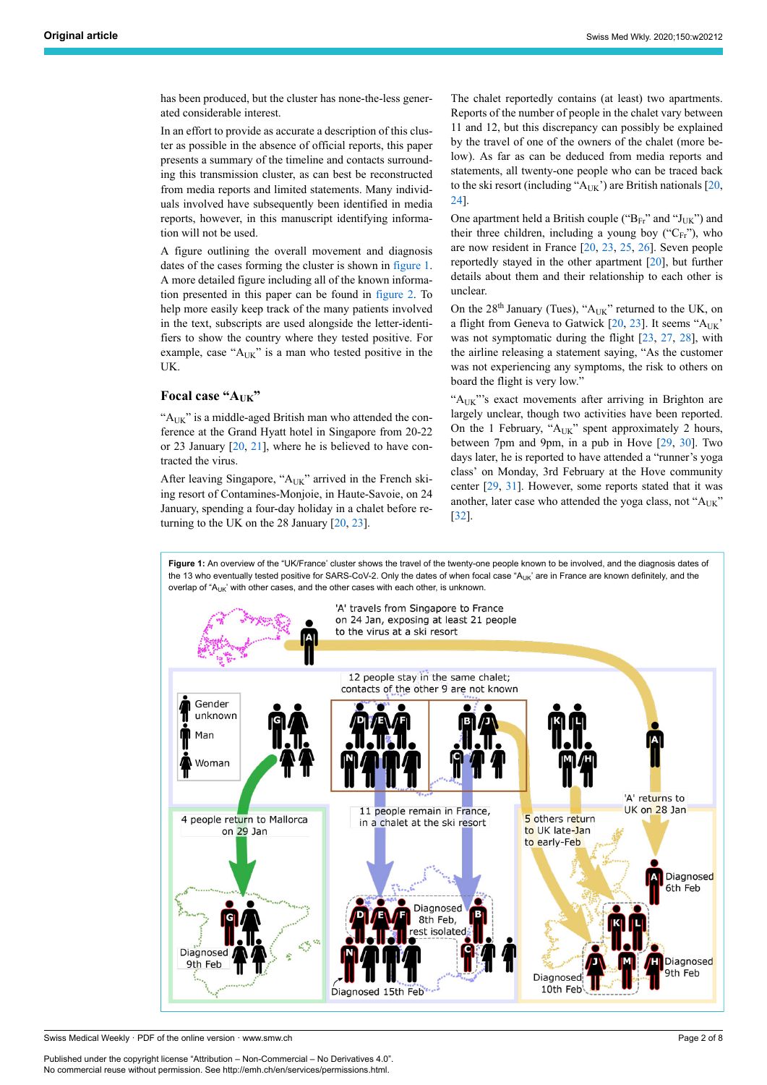has been produced, but the cluster has none-the-less generated considerable interest.

In an effort to provide as accurate a description of this cluster as possible in the absence of official reports, this paper presents a summary of the timeline and contacts surrounding this transmission cluster, as can best be reconstructed from media reports and limited statements. Many individuals involved have subsequently been identified in media reports, however, in this manuscript identifying information will not be used.

A figure outlining the overall movement and diagnosis dates of the cases forming the cluster is shown in [figure 1.](#page-1-0) A more detailed figure including all of the known information presented in this paper can be found in [figure 2](#page-2-0). To help more easily keep track of the many patients involved in the text, subscripts are used alongside the letter-identifiers to show the country where they tested positive. For example, case "AUK" is a man who tested positive in the UK.

# **Focal case "AUK"**

" $A_{UK}$ " is a middle-aged British man who attended the conference at the Grand Hyatt hotel in Singapore from 20-22 or 23 January [[20,](#page-5-17) [21\]](#page-5-18), where he is believed to have contracted the virus.

After leaving Singapore, "AUK" arrived in the French skiing resort of Contamines-Monjoie, in Haute-Savoie, on 24 January, spending a four-day holiday in a chalet before returning to the UK on the 28 January  $[20, 23]$  $[20, 23]$  $[20, 23]$  $[20, 23]$  $[20, 23]$ .

The chalet reportedly contains (at least) two apartments. Reports of the number of people in the chalet vary between 11 and 12, but this discrepancy can possibly be explained by the travel of one of the owners of the chalet (more below). As far as can be deduced from media reports and statements, all twenty-one people who can be traced back to the ski resort (including " $A_{UK}$ ") are British nationals [\[20](#page-5-17), [24](#page-5-21)].

One apartment held a British couple (" $B_{Fr}$ " and " $J_{UK}$ ") and their three children, including a young boy (" $C_{Fr}$ "), who are now resident in France [\[20](#page-5-17), [23](#page-5-20), [25](#page-5-22), [26](#page-5-23)]. Seven people reportedly stayed in the other apartment [[20\]](#page-5-17), but further details about them and their relationship to each other is unclear.

On the  $28^{th}$  January (Tues), "A<sub>UK</sub>" returned to the UK, on a flight from Geneva to Gatwick  $[20, 23]$  $[20, 23]$  $[20, 23]$ . It seems " $A_{UK}$ " was not symptomatic during the flight [[23,](#page-5-20) [27](#page-5-24), [28\]](#page-5-25), with the airline releasing a statement saying, "As the customer was not experiencing any symptoms, the risk to others on board the flight is very low."

"A<sub>UK</sub>"'s exact movements after arriving in Brighton are largely unclear, though two activities have been reported. On the 1 February, " $A_{UK}$ " spent approximately 2 hours, between 7pm and 9pm, in a pub in Hove [[29,](#page-5-26) [30\]](#page-6-0). Two days later, he is reported to have attended a "runner's yoga class' on Monday, 3rd February at the Hove community center [\[29](#page-5-26), [31\]](#page-6-1). However, some reports stated that it was another, later case who attended the yoga class, not "AUK" [\[32](#page-6-2)].

Figure 1: An overview of the "UK/France' cluster shows the travel of the twenty-one people known to be involved, and the diagnosis dates of the 13 who eventually tested positive for SARS-CoV-2. Only the dates of when focal case "A<sub>UK</sub>' are in France are known definitely, and the overlap of " $A_{UK}$ " with other cases, and the other cases with each other, is unknown.

<span id="page-1-0"></span>

Swiss Medical Weekly · PDF of the online version · www.smw.ch

Published under the copyright license "Attribution – Non-Commercial – No Derivatives 4.0". No commercial reuse without permission. See http://emh.ch/en/services/permissions.html.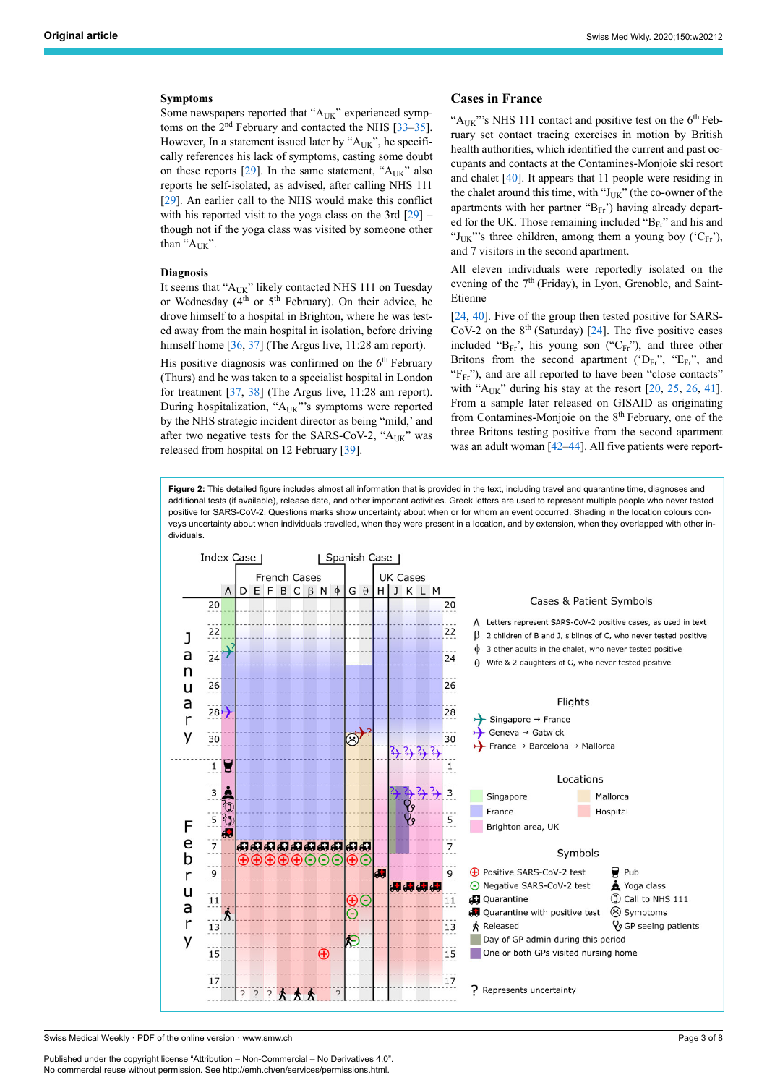#### **Symptoms**

Some newspapers reported that "AUK" experienced symptoms on the  $2<sup>nd</sup>$  February and contacted the NHS [\[33](#page-6-3)–[35\]](#page-6-4). However, In a statement issued later by "AUK", he specifically references his lack of symptoms, casting some doubt on these reports  $[29]$  $[29]$ . In the same statement, " $A_{UK}$ " also reports he self-isolated, as advised, after calling NHS 111 [[29\]](#page-5-26). An earlier call to the NHS would make this conflict with his reported visit to the yoga class on the 3rd  $[29]$  $[29]$  though not if the yoga class was visited by someone other than " $A_{UK}$ ".

#### **Diagnosis**

It seems that "A<sub>UK</sub>" likely contacted NHS 111 on Tuesday or Wednesday (4<sup>th</sup> or 5<sup>th</sup> February). On their advice, he drove himself to a hospital in Brighton, where he was tested away from the main hospital in isolation, before driving himself home [\[36](#page-6-5), [37\]](#page-6-6) (The Argus live, 11:28 am report).

His positive diagnosis was confirmed on the 6<sup>th</sup> February (Thurs) and he was taken to a specialist hospital in London for treatment [\[37](#page-6-6), [38\]](#page-6-7) (The Argus live, 11:28 am report). During hospitalization, "AUK"'s symptoms were reported by the NHS strategic incident director as being "mild,' and after two negative tests for the SARS-CoV-2, "AUK" was released from hospital on 12 February [\[39](#page-6-8)].

#### **Cases in France**

" $A_{UK}$ "'s NHS 111 contact and positive test on the  $6<sup>th</sup>$  February set contact tracing exercises in motion by British health authorities, which identified the current and past occupants and contacts at the Contamines-Monjoie ski resort and chalet [[40\]](#page-6-9). It appears that 11 people were residing in the chalet around this time, with " $J_{UK}$ " (the co-owner of the apartments with her partner "BFr') having already departed for the UK. Those remaining included " $B_{Fr}$ " and his and "J<sub>UK</sub>"'s three children, among them a young boy (' $C_{Fr}$ '), and 7 visitors in the second apartment.

All eleven individuals were reportedly isolated on the evening of the  $7<sup>th</sup>$  (Friday), in Lyon, Grenoble, and Saint-Etienne

[\[24](#page-5-21), [40\]](#page-6-9). Five of the group then tested positive for SARS- $CoV-2$  on the  $8<sup>th</sup>$  (Saturday) [[24\]](#page-5-21). The five positive cases included " $B_{Fr}$ ", his young son (" $C_{Fr}$ "), and three other Britons from the second apartment ( $D_{FF}$ ", "E<sub>Fr</sub>", and "F<sub>Fr</sub>"), and are all reported to have been "close contacts" with " $A_{IJK}$ " during his stay at the resort [[20,](#page-5-17) [25](#page-5-22), [26,](#page-5-23) [41](#page-6-10)]. From a sample later released on GISAID as originating from Contamines-Monjoie on the  $8<sup>th</sup>$  February, one of the three Britons testing positive from the second apartment was an adult woman [\[42](#page-6-11)–[44\]](#page-6-12). All five patients were report-

<span id="page-2-0"></span>**Figure 2:** This detailed figure includes almost all information that is provided in the text, including travel and quarantine time, diagnoses and additional tests (if available), release date, and other important activities. Greek letters are used to represent multiple people who never tested positive for SARS-CoV-2. Questions marks show uncertainty about when or for whom an event occurred. Shading in the location colours conveys uncertainty about when individuals travelled, when they were present in a location, and by extension, when they overlapped with other individuals.



Swiss Medical Weekly · PDF of the online version · www.smw.ch

Published under the copyright license "Attribution – Non-Commercial – No Derivatives 4.0". No commercial reuse without permission. See http://emh.ch/en/services/permissions.html.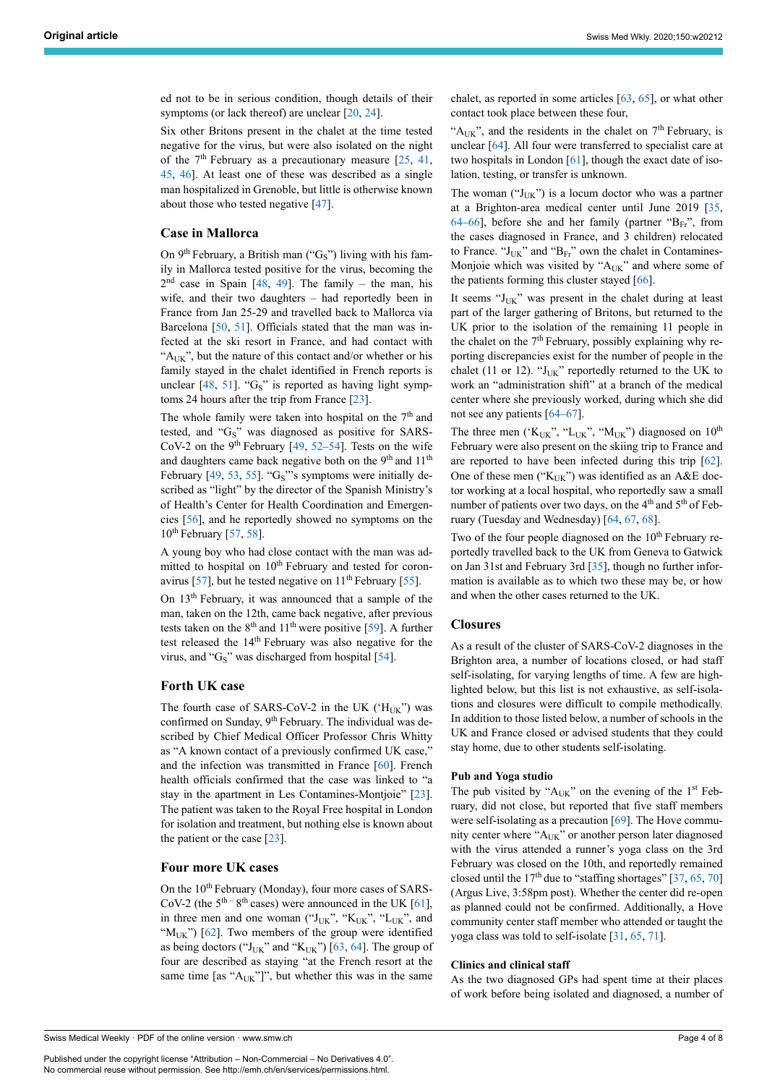ed not to be in serious condition, though details of their symptoms (or lack thereof) are unclear [[20,](#page-5-17) [24](#page-5-21)].

Six other Britons present in the chalet at the time tested negative for the virus, but were also isolated on the night of the  $7<sup>th</sup>$  February as a precautionary measure [\[25](#page-5-22), [41,](#page-6-10) [45,](#page-6-13) [46\]](#page-6-14). At least one of these was described as a single man hospitalized in Grenoble, but little is otherwise known about those who tested negative [[47\]](#page-6-15).

# **Case in Mallorca**

On  $9<sup>th</sup>$  February, a British man ("G<sub>S</sub>") living with his family in Mallorca tested positive for the virus, becoming the  $2<sup>nd</sup>$  case in Spain [[48,](#page-6-16) [49](#page-6-17)]. The family – the man, his wife, and their two daughters - had reportedly been in France from Jan 25-29 and travelled back to Mallorca via Barcelona [[50,](#page-6-18) [51](#page-6-19)]. Officials stated that the man was infected at the ski resort in France, and had contact with " $A_{UK}$ ", but the nature of this contact and/or whether or his family stayed in the chalet identified in French reports is unclear  $[48, 51]$  $[48, 51]$  $[48, 51]$  $[48, 51]$  $[48, 51]$ . " $G_S$ " is reported as having light symptoms 24 hours after the trip from France [\[23](#page-5-20)].

The whole family were taken into hospital on the  $7<sup>th</sup>$  and tested, and " $G_S$ " was diagnosed as positive for SARS-CoV-2 on the 9<sup>th</sup> February [\[49](#page-6-17), [52–](#page-6-20)[54](#page-6-21)]. Tests on the wife and daughters came back negative both on the  $9<sup>th</sup>$  and  $11<sup>th</sup>$ February [[49,](#page-6-17) [53,](#page-6-0) [55\]](#page-6-22). " $G_S$ "'s symptoms were initially described as "light" by the director of the Spanish Ministry's of Health's Center for Health Coordination and Emergencies [[56\]](#page-6-4), and he reportedly showed no symptoms on the  $10^{th}$  February  $[57, 58]$  $[57, 58]$  $[57, 58]$  $[57, 58]$  $[57, 58]$ .

A young boy who had close contact with the man was admitted to hospital on 10<sup>th</sup> February and tested for coron-avirus [[57\]](#page-6-5), but he tested negative on  $11<sup>th</sup>$  February [\[55](#page-6-22)].

On 13th February, it was announced that a sample of the man, taken on the 12th, came back negative, after previous tests taken on the  $8<sup>th</sup>$  and  $11<sup>th</sup>$  were positive [[59\]](#page-6-24). A further test released the 14th February was also negative for the virus, and " $G_S$ " was discharged from hospital [[54\]](#page-6-21).

#### **Forth UK case**

The fourth case of SARS-CoV-2 in the UK (' $H_{UK}$ ") was confirmed on Sunday, 9<sup>th</sup> February. The individual was described by Chief Medical Officer Professor Chris Whitty as "A known contact of a previously confirmed UK case," and the infection was transmitted in France [\[60](#page-6-25)]. French health officials confirmed that the case was linked to "a stay in the apartment in Les Contamines-Montjoie" [[23\]](#page-5-20). The patient was taken to the Royal Free hospital in London for isolation and treatment, but nothing else is known about the patient or the case [\[23](#page-5-20)].

# **Four more UK cases**

On the 10<sup>th</sup> February (Monday), four more cases of SARS-CoV-2 (the  $5<sup>th - 8<sup>th</sup></sup>$  cases) were announced in the UK [[61\]](#page-6-26), in three men and one woman (" $J_{UK}$ ", " $K_{UK}$ ", " $L_{UK}$ ", and " $M_{UK}$ ") [\[62](#page-6-27)]. Two members of the group were identified as being doctors (" $J_{UK}$ " and " $K_{UK}$ ") [[63,](#page-6-12) [64](#page-6-13)]. The group of four are described as staying "at the French resort at the same time [as " $A_{UK}$ "]", but whether this was in the same chalet, as reported in some articles  $[63, 65]$  $[63, 65]$  $[63, 65]$  $[63, 65]$ , or what other contact took place between these four,

" $A_{UK}$ ", and the residents in the chalet on  $7<sup>th</sup>$  February, is unclear [\[64](#page-6-13)]. All four were transferred to specialist care at two hospitals in London [[61\]](#page-6-26), though the exact date of isolation, testing, or transfer is unknown.

The woman (" $J_{UK}$ ") is a locum doctor who was a partner at a Brighton-area medical center until June 2019 [\[35](#page-6-4), [64](#page-6-13)–[66\]](#page-6-29), before she and her family (partner " $B_{Fr}$ ", from the cases diagnosed in France, and 3 children) relocated to France. " $J_{UK}$ " and " $B_{Fr}$ " own the chalet in Contamines-Monjoie which was visited by "A<sub>UK</sub>" and where some of the patients forming this cluster stayed [[66\]](#page-6-29).

It seems "J<sub>UK</sub>" was present in the chalet during at least part of the larger gathering of Britons, but returned to the UK prior to the isolation of the remaining 11 people in the chalet on the  $7<sup>th</sup>$  February, possibly explaining why reporting discrepancies exist for the number of people in the chalet (11 or 12). " $J_{UK}$ " reportedly returned to the UK to work an "administration shift" at a branch of the medical center where she previously worked, during which she did not see any patients [[64](#page-6-13)–[67\]](#page-6-16).

The three men (' $K_{UK}$ ", " $L_{UK}$ ", " $M_{UK}$ ") diagnosed on 10<sup>th</sup> February were also present on the skiing trip to France and are reported to have been infected during this trip [\[62](#page-6-27)]. One of these men (" $K_{IJK}$ ") was identified as an A&E doctor working at a local hospital, who reportedly saw a small number of patients over two days, on the  $4<sup>th</sup>$  and  $5<sup>th</sup>$  of February (Tuesday and Wednesday) [\[64](#page-6-13), [67,](#page-6-16) [68](#page-6-30)].

Two of the four people diagnosed on the  $10<sup>th</sup>$  February reportedly travelled back to the UK from Geneva to Gatwick on Jan 31st and February 3rd [\[35](#page-6-4)], though no further information is available as to which two these may be, or how and when the other cases returned to the UK.

# **Closures**

As a result of the cluster of SARS-CoV-2 diagnoses in the Brighton area, a number of locations closed, or had staff self-isolating, for varying lengths of time. A few are highlighted below, but this list is not exhaustive, as self-isolations and closures were difficult to compile methodically. In addition to those listed below, a number of schools in the UK and France closed or advised students that they could stay home, due to other students self-isolating.

#### **Pub and Yoga studio**

The pub visited by " $A_{UK}$ " on the evening of the 1<sup>st</sup> February, did not close, but reported that five staff members were self-isolating as a precaution [\[69](#page-6-18)]. The Hove community center where " $A_{UK}$ " or another person later diagnosed with the virus attended a runner's yoga class on the 3rd February was closed on the 10th, and reportedly remained closed until the  $17<sup>th</sup>$  due to "staffing shortages" [[37,](#page-6-6) [65,](#page-6-28) [70](#page-6-31)] (Argus Live, 3:58pm post). Whether the center did re-open as planned could not be confirmed. Additionally, a Hove community center staff member who attended or taught the yoga class was told to self-isolate [\[31](#page-6-1), [65,](#page-6-28) [71](#page-6-20)].

# **Clinics and clinical staff**

As the two diagnosed GPs had spent time at their places of work before being isolated and diagnosed, a number of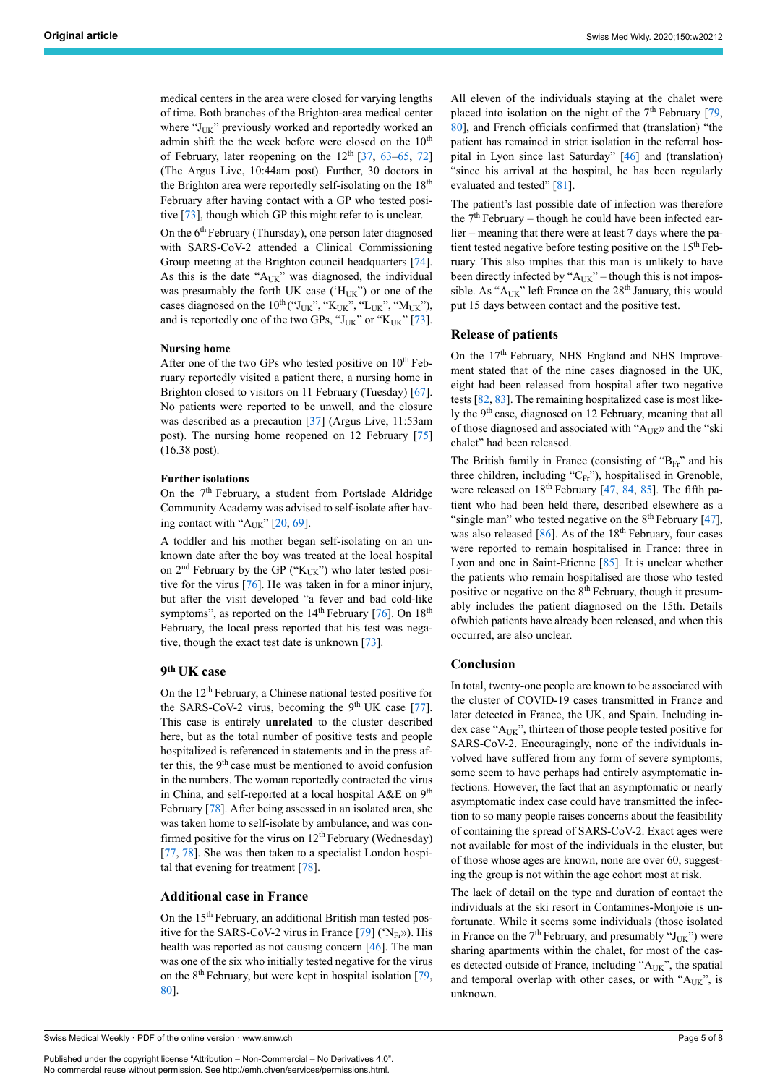medical centers in the area were closed for varying lengths of time. Both branches of the Brighton-area medical center where "J<sub>UK</sub>" previously worked and reportedly worked an admin shift the the week before were closed on the  $10<sup>th</sup>$ of February, later reopening on the  $12<sup>th</sup>$  [\[37](#page-6-6), [63](#page-6-12)–[65,](#page-6-28) [72\]](#page-6-32) (The Argus Live, 10:44am post). Further, 30 doctors in the Brighton area were reportedly self-isolating on the 18<sup>th</sup> February after having contact with a GP who tested positive [\[73](#page-7-0)], though which GP this might refer to is unclear.

On the 6<sup>th</sup> February (Thursday), one person later diagnosed with SARS-CoV-2 attended a Clinical Commissioning Group meeting at the Brighton council headquarters [[74\]](#page-7-1). As this is the date "AUK" was diagnosed, the individual was presumably the forth UK case ( $H_{UK}$ ") or one of the cases diagnosed on the  $10^{th}$  ("J<sub>UK</sub>", "K<sub>UK</sub>", "L<sub>UK</sub>", "M<sub>UK</sub>"), and is reportedly one of the two GPs, " $J_{UK}$ " or " $K_{UK}$ " [[73\]](#page-7-0).

#### **Nursing home**

After one of the two GPs who tested positive on  $10^{th}$  February reportedly visited a patient there, a nursing home in Brighton closed to visitors on 11 February (Tuesday) [[67\]](#page-6-16). No patients were reported to be unwell, and the closure was described as a precaution [\[37](#page-6-6)] (Argus Live, 11:53am post). The nursing home reopened on 12 February [[75\]](#page-7-2) (16.38 post).

#### **Further isolations**

On the 7<sup>th</sup> February, a student from Portslade Aldridge Community Academy was advised to self-isolate after having contact with " $A_{UK}$ " [[20,](#page-5-17) [69](#page-6-18)].

A toddler and his mother began self-isolating on an unknown date after the boy was treated at the local hospital on  $2<sup>nd</sup>$  February by the GP (" $K_{UK}$ ") who later tested positive for the virus [[76\]](#page-7-3). He was taken in for a minor injury, but after the visit developed "a fever and bad cold-like symptoms", as reported on the  $14<sup>th</sup>$  February [[76\]](#page-7-3). On  $18<sup>th</sup>$ February, the local press reported that his test was negative, though the exact test date is unknown [\[73](#page-7-0)].

# **9 th UK case**

On the 12th February, a Chinese national tested positive for the SARS-CoV-2 virus, becoming the  $9<sup>th</sup> UK$  case [[77\]](#page-7-4). This case is entirely **unrelated** to the cluster described here, but as the total number of positive tests and people hospitalized is referenced in statements and in the press after this, the  $9<sup>th</sup>$  case must be mentioned to avoid confusion in the numbers. The woman reportedly contracted the virus in China, and self-reported at a local hospital  $A \& E$  on  $9<sup>th</sup>$ February [\[78](#page-7-5)]. After being assessed in an isolated area, she was taken home to self-isolate by ambulance, and was confirmed positive for the virus on  $12<sup>th</sup>$  February (Wednesday) [[77,](#page-7-4) [78](#page-7-5)]. She was then taken to a specialist London hospital that evening for treatment [\[78](#page-7-5)].

#### **Additional case in France**

On the 15<sup>th</sup> February, an additional British man tested positive for the SARS-CoV-2 virus in France  $[79]$  $[79]$  ('N<sub>Fr</sub>»). His health was reported as not causing concern  $[46]$  $[46]$ . The man was one of the six who initially tested negative for the virus on the  $8<sup>th</sup>$  February, but were kept in hospital isolation [[79,](#page-7-6) [80\]](#page-7-7).

Swiss Medical Weekly · PDF of the online version · www.smw.ch

Published under the copyright license "Attribution – Non-Commercial – No Derivatives 4.0". No commercial reuse without permission. See http://emh.ch/en/services/permissions.html.

All eleven of the individuals staying at the chalet were placed into isolation on the night of the  $7<sup>th</sup>$  February [\[79](#page-7-6), [80](#page-7-7)], and French officials confirmed that (translation) "the patient has remained in strict isolation in the referral hospital in Lyon since last Saturday" [[46\]](#page-6-14) and (translation) "since his arrival at the hospital, he has been regularly evaluated and tested" [\[81](#page-7-8)].

The patient's last possible date of infection was therefore the  $7<sup>th</sup>$  February – though he could have been infected ear $lier - meaning that there were at least 7 days where the pa$ tient tested negative before testing positive on the 15<sup>th</sup> February. This also implies that this man is unlikely to have been directly infected by " $A_{UK}$ " – though this is not impossible. As " $A_{UK}$ " left France on the 28<sup>th</sup> January, this would put 15 days between contact and the positive test.

#### **Release of patients**

On the 17<sup>th</sup> February, NHS England and NHS Improvement stated that of the nine cases diagnosed in the UK, eight had been released from hospital after two negative tests [[82,](#page-7-9) [83](#page-7-10)]. The remaining hospitalized case is most likely the 9<sup>th</sup> case, diagnosed on 12 February, meaning that all of those diagnosed and associated with "AUK" and the "ski chalet" had been released.

The British family in France (consisting of " $B_{Fr}$ " and his three children, including " $C_{Fr}$ "), hospitalised in Grenoble, were released on  $18<sup>th</sup>$  February [\[47](#page-6-15), [84](#page-7-11), [85](#page-7-4)]. The fifth patient who had been held there, described elsewhere as a "single man" who tested negative on the  $8<sup>th</sup>$  February [\[47](#page-6-15)], was also released  $[86]$  $[86]$ . As of the 18<sup>th</sup> February, four cases were reported to remain hospitalised in France: three in Lyon and one in Saint-Etienne [\[85](#page-7-4)]. It is unclear whether the patients who remain hospitalised are those who tested positive or negative on the 8<sup>th</sup> February, though it presumably includes the patient diagnosed on the 15th. Details ofwhich patients have already been released, and when this occurred, are also unclear.

#### **Conclusion**

In total, twenty-one people are known to be associated with the cluster of COVID-19 cases transmitted in France and later detected in France, the UK, and Spain. Including index case " $A_{UK}$ ", thirteen of those people tested positive for SARS-CoV-2. Encouragingly, none of the individuals involved have suffered from any form of severe symptoms; some seem to have perhaps had entirely asymptomatic infections. However, the fact that an asymptomatic or nearly asymptomatic index case could have transmitted the infection to so many people raises concerns about the feasibility of containing the spread of SARS-CoV-2. Exact ages were not available for most of the individuals in the cluster, but of those whose ages are known, none are over 60, suggesting the group is not within the age cohort most at risk.

The lack of detail on the type and duration of contact the individuals at the ski resort in Contamines-Monjoie is unfortunate. While it seems some individuals (those isolated in France on the  $7<sup>th</sup>$  February, and presumably " $J_{UK}$ ") were sharing apartments within the chalet, for most of the cases detected outside of France, including " $A_{UK}$ ", the spatial and temporal overlap with other cases, or with " $A_{UK}$ ", is unknown.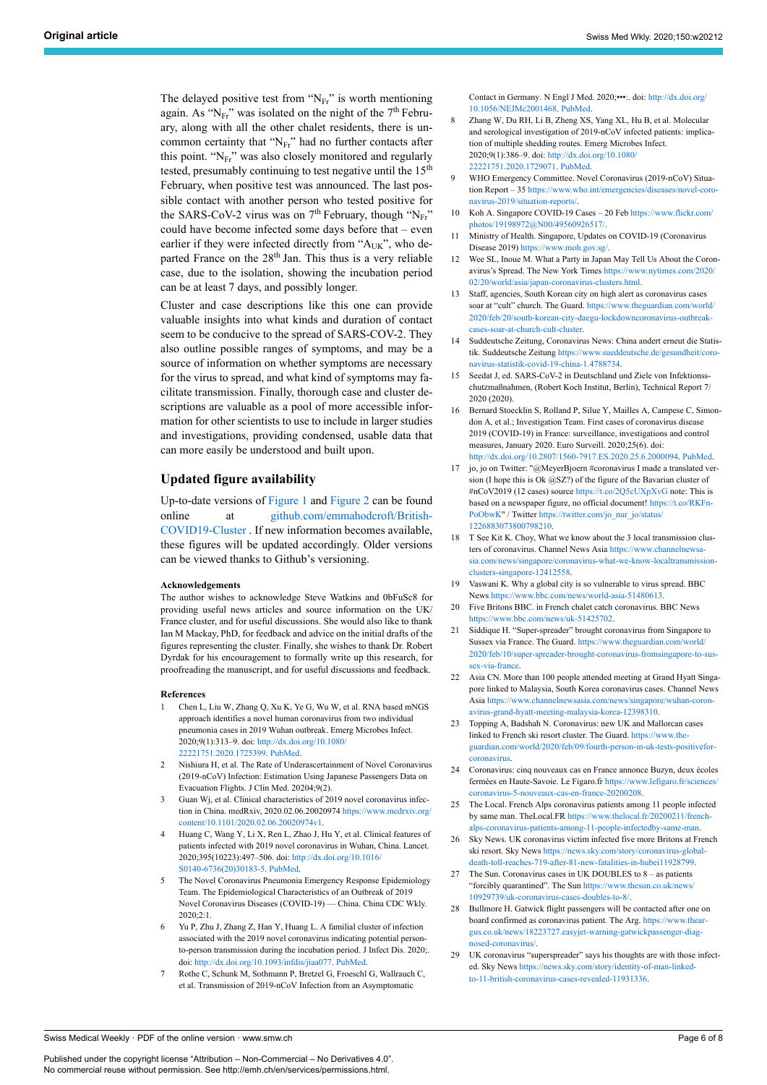<span id="page-5-6"></span><span id="page-5-5"></span>The delayed positive test from " $N_{Fr}$ " is worth mentioning again. As " $N_{\text{Fr}}$ " was isolated on the night of the 7<sup>th</sup> February, along with all the other chalet residents, there is uncommon certainty that " $N_{Fr}$ " had no further contacts after this point. "N<sub>Fr</sub>" was also closely monitored and regularly tested, presumably continuing to test negative until the 15<sup>th</sup> February, when positive test was announced. The last possible contact with another person who tested positive for the SARS-CoV-2 virus was on  $7<sup>th</sup>$  February, though "N<sub>Fr</sub>" could have become infected some days before that - even earlier if they were infected directly from "AUK", who departed France on the 28<sup>th</sup> Jan. This thus is a very reliable case, due to the isolation, showing the incubation period can be at least 7 days, and possibly longer.

<span id="page-5-12"></span><span id="page-5-11"></span><span id="page-5-10"></span><span id="page-5-9"></span><span id="page-5-8"></span><span id="page-5-7"></span>Cluster and case descriptions like this one can provide valuable insights into what kinds and duration of contact seem to be conducive to the spread of SARS-COV-2. They also outline possible ranges of symptoms, and may be a source of information on whether symptoms are necessary for the virus to spread, and what kind of symptoms may facilitate transmission. Finally, thorough case and cluster descriptions are valuable as a pool of more accessible information for other scientists to use to include in larger studies and investigations, providing condensed, usable data that can more easily be understood and built upon.

#### <span id="page-5-14"></span><span id="page-5-13"></span>**Updated figure availability**

<span id="page-5-15"></span>Up-to-date versions of [Figure 1](#page-1-0) and [Figure 2](#page-2-0) can be found online at [github.com/emmahodcroft/British-](https://github.com/emmahodcroft/British-COVID19-Cluster)[COVID19-Cluster](https://github.com/emmahodcroft/British-COVID19-Cluster) . If new information becomes available, these figures will be updated accordingly. Older versions can be viewed thanks to Github's versioning.

#### **Acknowledgements**

<span id="page-5-18"></span><span id="page-5-17"></span><span id="page-5-16"></span>The author wishes to acknowledge Steve Watkins and 0bFuSc8 for providing useful news articles and source information on the UK/ France cluster, and for useful discussions. She would also like to thank Ian M Mackay, PhD, for feedback and advice on the initial drafts of the figures representing the cluster. Finally, she wishes to thank Dr. Robert Dyrdak for his encouragement to formally write up this research, for proofreading the manuscript, and for useful discussions and feedback.

#### <span id="page-5-19"></span>**References**

- <span id="page-5-20"></span><span id="page-5-0"></span>1 Chen L, Liu W, Zhang Q, Xu K, Ye G, Wu W, et al. RNA based mNGS approach identifies a novel human coronavirus from two individual pneumonia cases in 2019 Wuhan outbreak. Emerg Microbes Infect. 2020;9(1):313–9. doi: [http://dx.doi.org/10.1080/](http://dx.doi.org/10.1080/22221751.2020.1725399) [22221751.2020.1725399](http://dx.doi.org/10.1080/22221751.2020.1725399). [PubMed.](http://www.ncbi.nlm.nih.gov/entrez/query.fcgi?cmd=Retrieve&db=PubMed&list_uids=32020836&dopt=Abstract)
- <span id="page-5-21"></span><span id="page-5-1"></span>2 Nishiura H, et al. The Rate of Underascertainment of Novel Coronavirus (2019-nCoV) Infection: Estimation Using Japanese Passengers Data on Evacuation Flights. J Clin Med. 20204;9(2).
- <span id="page-5-22"></span>Guan Wj, et al. Clinical characteristics of 2019 novel coronavirus infection in China. medRxiv, 2020.02.06.20020974 [https://www.medrxiv.org/](https://www.medrxiv.org/content/10.1101/2020.02.06.20020974v1) [content/10.1101/2020.02.06.20020974v1](https://www.medrxiv.org/content/10.1101/2020.02.06.20020974v1).
- <span id="page-5-23"></span>4 Huang C, Wang Y, Li X, Ren L, Zhao J, Hu Y, et al. Clinical features of patients infected with 2019 novel coronavirus in Wuhan, China. Lancet. 2020;395(10223):497–506. doi: [http://dx.doi.org/10.1016/](http://dx.doi.org/10.1016/S0140-6736(20)30183-5) [S0140-6736\(20\)30183-5.](http://dx.doi.org/10.1016/S0140-6736(20)30183-5) [PubMed.](http://www.ncbi.nlm.nih.gov/entrez/query.fcgi?cmd=Retrieve&db=PubMed&list_uids=31986264&dopt=Abstract)
- <span id="page-5-24"></span><span id="page-5-2"></span>5 The Novel Coronavirus Pneumonia Emergency Response Epidemiology Team. The Epidemiological Characteristics of an Outbreak of 2019 Novel Coronavirus Diseases (COVID-19) — China. China CDC Wkly. 2020;2:1.
- <span id="page-5-26"></span><span id="page-5-25"></span><span id="page-5-3"></span>6 Yu P, Zhu J, Zhang Z, Han Y, Huang L. A familial cluster of infection associated with the 2019 novel coronavirus indicating potential personto-person transmission during the incubation period. J Infect Dis. 2020;. doi: [http://dx.doi.org/10.1093/infdis/jiaa077.](http://dx.doi.org/10.1093/infdis/jiaa077) [PubMed.](http://www.ncbi.nlm.nih.gov/entrez/query.fcgi?cmd=Retrieve&db=PubMed&list_uids=32067043&dopt=Abstract)
- <span id="page-5-4"></span>7 Rothe C, Schunk M, Sothmann P, Bretzel G, Froeschl G, Wallrauch C, et al. Transmission of 2019-nCoV Infection from an Asymptomatic

Contact in Germany. N Engl J Med. 2020;•••:. doi: [http://dx.doi.org/](http://dx.doi.org/10.1056/NEJMc2001468) [10.1056/NEJMc2001468](http://dx.doi.org/10.1056/NEJMc2001468). [PubMed.](http://www.ncbi.nlm.nih.gov/entrez/query.fcgi?cmd=Retrieve&db=PubMed&list_uids=32003551&dopt=Abstract)

- 8 Zhang W, Du RH, Li B, Zheng XS, Yang XL, Hu B, et al. Molecular and serological investigation of 2019-nCoV infected patients: implication of multiple shedding routes. Emerg Microbes Infect. 2020;9(1):386–9. doi: [http://dx.doi.org/10.1080/](http://dx.doi.org/10.1080/22221751.2020.1729071) [22221751.2020.1729071.](http://dx.doi.org/10.1080/22221751.2020.1729071) [PubMed](http://www.ncbi.nlm.nih.gov/entrez/query.fcgi?cmd=Retrieve&db=PubMed&list_uids=32065057&dopt=Abstract).
- 9 WHO Emergency Committee. Novel Coronavirus (2019-nCoV) Situation Report – 35 [https://www.who.int/emergencies/diseases/novel-coro](https://www.who.int/emergencies/diseases/novel-coronavirus-2019/situation-reports/)[navirus-2019/situation-reports/.](https://www.who.int/emergencies/diseases/novel-coronavirus-2019/situation-reports/)
- Koh A. Singapore COVID-19 Cases 20 Feb [https://www.flickr.com/](https://www.flickr.com/photos/19198972@N00/49560926517/) [photos/19198972@N00/49560926517/.](https://www.flickr.com/photos/19198972@N00/49560926517/)
- 11 Ministry of Health. Singapore, Updates on COVID-19 (Coronavirus Disease 2019) [https://www.moh.gov.sg/.](https://www.moh.gov.sg/)
- 12 Wee SL, Inoue M. What a Party in Japan May Tell Us About the Coronavirus's Spread. The New York Times [https://www.nytimes.com/2020/](https://www.nytimes.com/2020/02/20/world/asia/japan-coronavirus-clusters.html) [02/20/world/asia/japan-coronavirus-clusters.html](https://www.nytimes.com/2020/02/20/world/asia/japan-coronavirus-clusters.html).
- 13 Staff, agencies, South Korean city on high alert as coronavirus cases soar at "cult" church. The Guard. [https://www.theguardian.com/world/](https://www.theguardian.com/world/2020/feb/20/south-korean-city-daegu-lockdowncoronavirus-outbreak-cases-soar-at-church-cult-cluster) [2020/feb/20/south-korean-city-daegu-lockdowncoronavirus-outbreak](https://www.theguardian.com/world/2020/feb/20/south-korean-city-daegu-lockdowncoronavirus-outbreak-cases-soar-at-church-cult-cluster)[cases-soar-at-church-cult-cluster](https://www.theguardian.com/world/2020/feb/20/south-korean-city-daegu-lockdowncoronavirus-outbreak-cases-soar-at-church-cult-cluster).
- 14 Suddeutsche Zeitung, Coronavirus News: China andert erneut die Statistik. Suddeutsche Zeitung [https://www.sueddeutsche.de/gesundheit/coro](https://www.sueddeutsche.de/gesundheit/coronavirus-statistik-covid-19-china-1.4788734)[navirus-statistik-covid-19-china-1.4788734](https://www.sueddeutsche.de/gesundheit/coronavirus-statistik-covid-19-china-1.4788734).
- 15 Seedat J, ed. SARS-CoV-2 in Deutschland und Ziele von Infektionsschutzmaßnahmen, (Robert Koch Institut, Berlin), Technical Report 7/ 2020 (2020).
- 16 Bernard Stoecklin S, Rolland P, Silue Y, Mailles A, Campese C, Simondon A, et al.; Investigation Team. First cases of coronavirus disease 2019 (COVID-19) in France: surveillance, investigations and control measures, January 2020. Euro Surveill. 2020;25(6). doi: [http://dx.doi.org/10.2807/1560-7917.ES.2020.25.6.2000094.](http://dx.doi.org/10.2807/1560-7917.ES.2020.25.6.2000094) [PubMed.](http://www.ncbi.nlm.nih.gov/entrez/query.fcgi?cmd=Retrieve&db=PubMed&list_uids=32070465&dopt=Abstract)
- 17 jo, jo on Twitter: "@MeyerBjoern #coronavirus I made a translated version (I hope this is Ok @SZ?) of the figure of the Bavarian cluster of #nCoV2019 (12 cases) source <https://t.co/2Q5cUXpXvG> note: This is based on a newspaper figure, no official document! [https://t.co/RKFn-](https://t.co/RKFnPoObwK)[PoObwK](https://t.co/RKFnPoObwK)" / Twitter [https://twitter.com/jo\\_nur\\_jo/status/](https://twitter.com/jo_nur_jo/status/1226883073800798210) [1226883073800798210](https://twitter.com/jo_nur_jo/status/1226883073800798210).
- 18 T See Kit K. Choy, What we know about the 3 local transmission clusters of coronavirus. Channel News Asia https://www.channelnews [sia.com/news/singapore/coronavirus-what-we-know-localtransmission](https://www.channelnewsasia.com/news/singapore/coronavirus-what-we-know-localtransmission-clusters-singapore-12412558)[clusters-singapore-12412558.](https://www.channelnewsasia.com/news/singapore/coronavirus-what-we-know-localtransmission-clusters-singapore-12412558)
- 19 Vaswani K. Why a global city is so vulnerable to virus spread. BBC News <https://www.bbc.com/news/world-asia-51480613>.
- 20 Five Britons BBC. in French chalet catch coronavirus. BBC News [https://www.bbc.com/news/uk-51425702.](https://www.bbc.com/news/uk-51425702)
- 21 Siddique H. "Super-spreader" brought coronavirus from Singapore to Sussex via France. The Guard. [https://www.theguardian.com/world/](https://www.theguardian.com/world/2020/feb/10/super-spreader-brought-coronavirus-fromsingapore-to-sussex-via-france) [2020/feb/10/super-spreader-brought-coronavirus-fromsingapore-to-sus](https://www.theguardian.com/world/2020/feb/10/super-spreader-brought-coronavirus-fromsingapore-to-sussex-via-france)[sex-via-france.](https://www.theguardian.com/world/2020/feb/10/super-spreader-brought-coronavirus-fromsingapore-to-sussex-via-france)
- 22 Asia CN. More than 100 people attended meeting at Grand Hyatt Singapore linked to Malaysia, South Korea coronavirus cases. Channel News Asia [https://www.channelnewsasia.com/news/singapore/wuhan-coron](https://www.channelnewsasia.com/news/singapore/wuhan-coronavirus-grand-hyatt-meeting-malaysia-korea-12398310)[avirus-grand-hyatt-meeting-malaysia-korea-12398310.](https://www.channelnewsasia.com/news/singapore/wuhan-coronavirus-grand-hyatt-meeting-malaysia-korea-12398310)
- 23 Topping A, Badshah N. Coronavirus: new UK and Mallorcan cases linked to French ski resort cluster. The Guard, [https://www.the](https://www.theguardian.com/world/2020/feb/09/fourth-person-in-uk-tests-positivefor-coronavirus)[guardian.com/world/2020/feb/09/fourth-person-in-uk-tests-positivefor](https://www.theguardian.com/world/2020/feb/09/fourth-person-in-uk-tests-positivefor-coronavirus)[coronavirus](https://www.theguardian.com/world/2020/feb/09/fourth-person-in-uk-tests-positivefor-coronavirus).
- 24 Coronavirus: cinq nouveaux cas en France annonce Buzyn, deux écoles fermées en Haute-Savoie. Le Figaro.fr [https://www.lefigaro.fr/sciences/](https://www.lefigaro.fr/sciences/coronavirus-5-nouveaux-cas-en-france-20200208) [coronavirus-5-nouveaux-cas-en-france-20200208](https://www.lefigaro.fr/sciences/coronavirus-5-nouveaux-cas-en-france-20200208).
- 25 The Local. French Alps coronavirus patients among 11 people infected by same man. TheLocal.FR [https://www.thelocal.fr/20200211/french](https://www.thelocal.fr/20200211/french-alps-coronavirus-patients-among-11-people-infectedby-same-man)[alps-coronavirus-patients-among-11-people-infectedby-same-man.](https://www.thelocal.fr/20200211/french-alps-coronavirus-patients-among-11-people-infectedby-same-man)
- 26 Sky News. UK coronavirus victim infected five more Britons at French ski resort. Sky News [https://news.sky.com/story/coronavirus-global](https://news.sky.com/story/coronavirus-global-death-toll-reaches-719-after-81-new-fatalities-in-hubei11928799)[death-toll-reaches-719-after-81-new-fatalities-in-hubei11928799.](https://news.sky.com/story/coronavirus-global-death-toll-reaches-719-after-81-new-fatalities-in-hubei11928799)
- The Sun. Coronavirus cases in UK DOUBLES to  $8 -$  as patients "forcibly quarantined". The Sun [https://www.thesun.co.uk/news/](https://www.thesun.co.uk/news/10929739/uk-coronavirus-cases-doubles-to-8/) [10929739/uk-coronavirus-cases-doubles-to-8/.](https://www.thesun.co.uk/news/10929739/uk-coronavirus-cases-doubles-to-8/)
- 28 Bullmore H. Gatwick flight passengers will be contacted after one on board confirmed as coronavirus patient. The Arg. [https://www.thear](https://www.theargus.co.uk/news/18223727.easyjet-warning-gatwickpassenger-diagnosed-coronavirus/)[gus.co.uk/news/18223727.easyjet-warning-gatwickpassenger-diag](https://www.theargus.co.uk/news/18223727.easyjet-warning-gatwickpassenger-diagnosed-coronavirus/)[nosed-coronavirus/.](https://www.theargus.co.uk/news/18223727.easyjet-warning-gatwickpassenger-diagnosed-coronavirus/)
- 29 UK coronavirus "superspreader" says his thoughts are with those infected. Sky News [https://news.sky.com/story/identity-of-man-linked](https://news.sky.com/story/identity-of-man-linked-to-11-british-coronavirus-cases-revealed-11931336)[to-11-british-coronavirus-cases-revealed-11931336](https://news.sky.com/story/identity-of-man-linked-to-11-british-coronavirus-cases-revealed-11931336).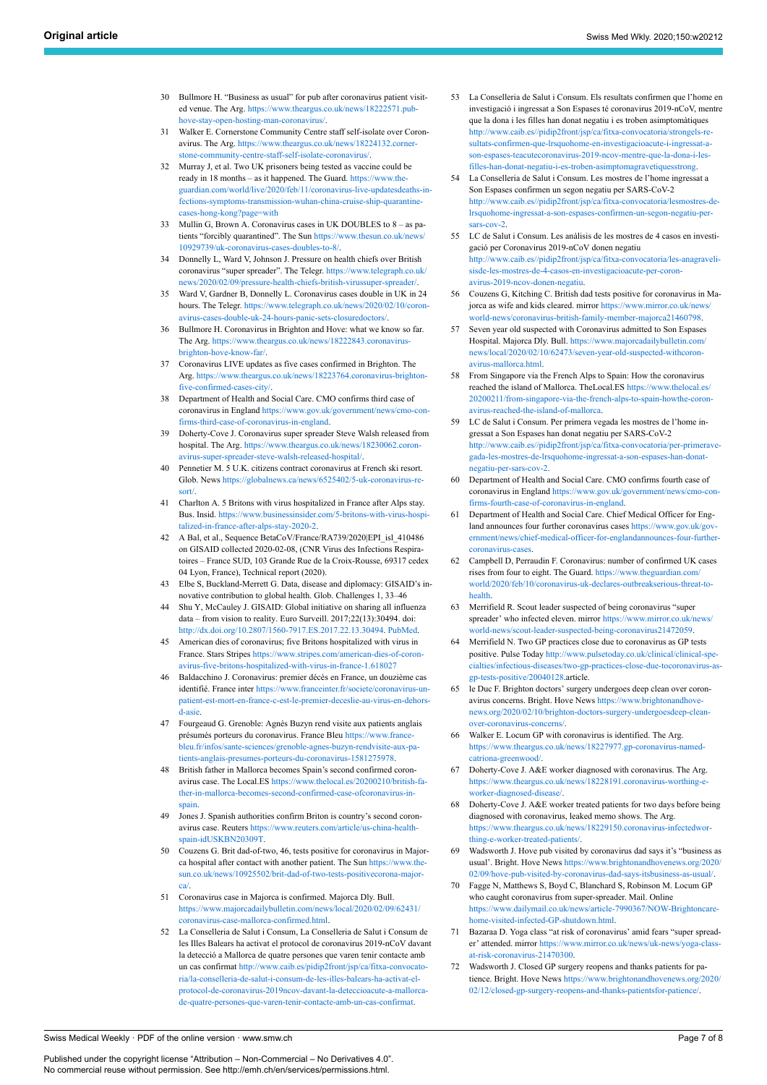- <span id="page-6-0"></span>30 Bullmore H. "Business as usual" for pub after coronavirus patient visited venue. The Arg. [https://www.theargus.co.uk/news/18222571.pub](https://www.theargus.co.uk/news/18222571.pub-hove-stay-open-hosting-man-coronavirus/)[hove-stay-open-hosting-man-coronavirus/](https://www.theargus.co.uk/news/18222571.pub-hove-stay-open-hosting-man-coronavirus/).
- <span id="page-6-1"></span>31 Walker E. Cornerstone Community Centre staff self-isolate over Coronavirus. The Arg. [https://www.theargus.co.uk/news/18224132.corner](https://www.theargus.co.uk/news/18224132.cornerstone-community-centre-staff-self-isolate-coronavirus/)[stone-community-centre-staff-self-isolate-coronavirus/.](https://www.theargus.co.uk/news/18224132.cornerstone-community-centre-staff-self-isolate-coronavirus/)
- <span id="page-6-21"></span><span id="page-6-2"></span>32 Murray J, et al. Two UK prisoners being tested as vaccine could be ready in 18 months – as it happened. The Guard. [https://www.the](https://www.theguardian.com/world/live/2020/feb/11/coronavirus-live-updatesdeaths-infections-symptoms-transmission-wuhan-china-cruise-ship-quarantine-cases-hong-kong?page=with)[guardian.com/world/live/2020/feb/11/coronavirus-live-updatesdeaths-in](https://www.theguardian.com/world/live/2020/feb/11/coronavirus-live-updatesdeaths-infections-symptoms-transmission-wuhan-china-cruise-ship-quarantine-cases-hong-kong?page=with)[fections-symptoms-transmission-wuhan-china-cruise-ship-quarantine](https://www.theguardian.com/world/live/2020/feb/11/coronavirus-live-updatesdeaths-infections-symptoms-transmission-wuhan-china-cruise-ship-quarantine-cases-hong-kong?page=with)[cases-hong-kong?page=with](https://www.theguardian.com/world/live/2020/feb/11/coronavirus-live-updatesdeaths-infections-symptoms-transmission-wuhan-china-cruise-ship-quarantine-cases-hong-kong?page=with)
- <span id="page-6-22"></span><span id="page-6-3"></span>33 Mullin G, Brown A. Coronavirus cases in UK DOUBLES to 8 ‒ as patients "forcibly quarantined". The Sun [https://www.thesun.co.uk/news/](https://www.thesun.co.uk/news/10929739/uk-coronavirus-cases-doubles-to-8/) [10929739/uk-coronavirus-cases-doubles-to-8/](https://www.thesun.co.uk/news/10929739/uk-coronavirus-cases-doubles-to-8/).
- 34 Donnelly L, Ward V, Johnson J. Pressure on health chiefs over British coronavirus "super spreader". The Telegr. [https://www.telegraph.co.uk/](https://www.telegraph.co.uk/news/2020/02/09/pressure-health-chiefs-british-virussuper-spreader/) [news/2020/02/09/pressure-health-chiefs-british-virussuper-spreader/.](https://www.telegraph.co.uk/news/2020/02/09/pressure-health-chiefs-british-virussuper-spreader/)
- <span id="page-6-4"></span>35 Ward V, Gardner B, Donnelly L. Coronavirus cases double in UK in 24 hours. The Telegr. [https://www.telegraph.co.uk/news/2020/02/10/coron](https://www.telegraph.co.uk/news/2020/02/10/coronavirus-cases-double-uk-24-hours-panic-sets-closuredoctors/)[avirus-cases-double-uk-24-hours-panic-sets-closuredoctors/](https://www.telegraph.co.uk/news/2020/02/10/coronavirus-cases-double-uk-24-hours-panic-sets-closuredoctors/).
- <span id="page-6-5"></span>36 Bullmore H. Coronavirus in Brighton and Hove: what we know so far. The Arg. [https://www.theargus.co.uk/news/18222843.coronavirus](https://www.theargus.co.uk/news/18222843.coronavirus-brighton-hove-know-far/)[brighton-hove-know-far/](https://www.theargus.co.uk/news/18222843.coronavirus-brighton-hove-know-far/).
- <span id="page-6-23"></span><span id="page-6-6"></span>37 Coronavirus LIVE updates as five cases confirmed in Brighton. The Arg. [https://www.theargus.co.uk/news/18223764.coronavirus-brighton](https://www.theargus.co.uk/news/18223764.coronavirus-brighton-five-confirmed-cases-city/)[five-confirmed-cases-city/](https://www.theargus.co.uk/news/18223764.coronavirus-brighton-five-confirmed-cases-city/).
- <span id="page-6-7"></span>38 Department of Health and Social Care. CMO confirms third case of coronavirus in England [https://www.gov.uk/government/news/cmo-con](https://www.gov.uk/government/news/cmo-confirms-third-case-of-coronavirus-in-england)[firms-third-case-of-coronavirus-in-england](https://www.gov.uk/government/news/cmo-confirms-third-case-of-coronavirus-in-england).
- <span id="page-6-24"></span><span id="page-6-8"></span>39 Doherty-Cove J. Coronavirus super spreader Steve Walsh released from hospital. The Arg. [https://www.theargus.co.uk/news/18230062.coron](https://www.theargus.co.uk/news/18230062.coronavirus-super-spreader-steve-walsh-released-hospital/)[avirus-super-spreader-steve-walsh-released-hospital/](https://www.theargus.co.uk/news/18230062.coronavirus-super-spreader-steve-walsh-released-hospital/).
- <span id="page-6-25"></span><span id="page-6-9"></span>40 Pennetier M. 5 U.K. citizens contract coronavirus at French ski resort. Glob. News [https://globalnews.ca/news/6525402/5-uk-coronavirus-re](https://globalnews.ca/news/6525402/5-uk-coronavirus-resort/)[sort/.](https://globalnews.ca/news/6525402/5-uk-coronavirus-resort/)
- <span id="page-6-26"></span><span id="page-6-10"></span>41 Charlton A. 5 Britons with virus hospitalized in France after Alps stay. Bus. Insid. [https://www.businessinsider.com/5-britons-with-virus-hospi](https://www.businessinsider.com/5-britons-with-virus-hospitalized-in-france-after-alps-stay-2020-2)[talized-in-france-after-alps-stay-2020-2.](https://www.businessinsider.com/5-britons-with-virus-hospitalized-in-france-after-alps-stay-2020-2)
- <span id="page-6-11"></span>42 A Bal, et al., Sequence BetaCoV/France/RA739/2020|EPI\_isl\_410486 on GISAID collected 2020-02-08, (CNR Virus des Infections Respiratoires – France SUD, 103 Grande Rue de la Croix-Rousse, 69317 cedex 04 Lyon, France), Technical report (2020).
- <span id="page-6-27"></span>43 Elbe S, Buckland-Merrett G. Data, disease and diplomacy: GISAID's innovative contribution to global health. Glob. Challenges 1, 33–46
- <span id="page-6-12"></span>44 Shu Y, McCauley J. GISAID: Global initiative on sharing all influenza data ‒ from vision to reality. Euro Surveill. 2017;22(13):30494. doi: [http://dx.doi.org/10.2807/1560-7917.ES.2017.22.13.30494.](http://dx.doi.org/10.2807/1560-7917.ES.2017.22.13.30494) [PubMed](http://www.ncbi.nlm.nih.gov/entrez/query.fcgi?cmd=Retrieve&db=PubMed&list_uids=28382917&dopt=Abstract).
- <span id="page-6-13"></span>45 American dies of coronavirus; five Britons hospitalized with virus in France. Stars Stripes [https://www.stripes.com/american-dies-of-coron](https://www.stripes.com/american-dies-of-coronavirus-five-britons-hospitalized-with-virus-in-france-1.618027)[avirus-five-britons-hospitalized-with-virus-in-france-1.618027](https://www.stripes.com/american-dies-of-coronavirus-five-britons-hospitalized-with-virus-in-france-1.618027)
- <span id="page-6-28"></span><span id="page-6-14"></span>46 Baldacchino J. Coronavirus: premier décès en France, un douzième cas identifié. France inter [https://www.franceinter.fr/societe/coronavirus-un](https://www.franceinter.fr/societe/coronavirus-un-patient-est-mort-en-france-c-est-le-premier-deceslie-au-virus-en-dehors-d-asie)[patient-est-mort-en-france-c-est-le-premier-deceslie-au-virus-en-dehors](https://www.franceinter.fr/societe/coronavirus-un-patient-est-mort-en-france-c-est-le-premier-deceslie-au-virus-en-dehors-d-asie)[d-asie](https://www.franceinter.fr/societe/coronavirus-un-patient-est-mort-en-france-c-est-le-premier-deceslie-au-virus-en-dehors-d-asie).
- <span id="page-6-29"></span><span id="page-6-15"></span>47 Fourgeaud G. Grenoble: Agnès Buzyn rend visite aux patients anglais présumés porteurs du coronavirus. France Bleu https://www.france [bleu.fr/infos/sante-sciences/grenoble-agnes-buzyn-rendvisite-aux-pa](https://www.francebleu.fr/infos/sante-sciences/grenoble-agnes-buzyn-rendvisite-aux-patients-anglais-presumes-porteurs-du-coronavirus-1581275978)[tients-anglais-presumes-porteurs-du-coronavirus-1581275978](https://www.francebleu.fr/infos/sante-sciences/grenoble-agnes-buzyn-rendvisite-aux-patients-anglais-presumes-porteurs-du-coronavirus-1581275978).
- <span id="page-6-16"></span>48 British father in Mallorca becomes Spain's second confirmed coronavirus case. The Local.ES [https://www.thelocal.es/20200210/british-fa](https://www.thelocal.es/20200210/british-father-in-mallorca-becomes-second-confirmed-case-ofcoronavirus-in-spain)[ther-in-mallorca-becomes-second-confirmed-case-ofcoronavirus-in](https://www.thelocal.es/20200210/british-father-in-mallorca-becomes-second-confirmed-case-ofcoronavirus-in-spain)[spain](https://www.thelocal.es/20200210/british-father-in-mallorca-becomes-second-confirmed-case-ofcoronavirus-in-spain).
- <span id="page-6-30"></span><span id="page-6-17"></span>49 Jones J. Spanish authorities confirm Briton is country's second coronavirus case. Reuters [https://www.reuters.com/article/us-china-health](https://www.reuters.com/article/us-china-health-spain-idUSKBN20309T)[spain-idUSKBN20309T.](https://www.reuters.com/article/us-china-health-spain-idUSKBN20309T)
- <span id="page-6-18"></span>50 Couzens G. Brit dad-of-two, 46, tests positive for coronavirus in Majorca hospital after contact with another patient. The Sun [https://www.the](https://www.thesun.co.uk/news/10925502/brit-dad-of-two-tests-positivecorona-majorca/)[sun.co.uk/news/10925502/brit-dad-of-two-tests-positivecorona-major](https://www.thesun.co.uk/news/10925502/brit-dad-of-two-tests-positivecorona-majorca/)[ca/.](https://www.thesun.co.uk/news/10925502/brit-dad-of-two-tests-positivecorona-majorca/)
- <span id="page-6-31"></span><span id="page-6-19"></span>51 Coronavirus case in Majorca is confirmed. Majorca Dly. Bull. [https://www.majorcadailybulletin.com/news/local/2020/02/09/62431/](https://www.majorcadailybulletin.com/news/local/2020/02/09/62431/coronavirus-case-mallorca-confirmed.html) [coronavirus-case-mallorca-confirmed.html.](https://www.majorcadailybulletin.com/news/local/2020/02/09/62431/coronavirus-case-mallorca-confirmed.html)
- <span id="page-6-32"></span><span id="page-6-20"></span>52 La Conselleria de Salut i Consum, La Conselleria de Salut i Consum de les Illes Balears ha activat el protocol de coronavirus 2019-nCoV davant la detecció a Mallorca de quatre persones que varen tenir contacte amb un cas confirmat [http://www.caib.es/pidip2front/jsp/ca/fitxa-convocato](http://www.caib.es/pidip2front/jsp/ca/fitxa-convocatoria/la-conselleria-de-salut-i-consum-de-les-illes-balears-ha-activat-el-protocol-de-coronavirus-2019ncov-davant-la-deteccioacute-a-mallorca-de-quatre-persones-que-varen-tenir-contacte-amb-un-cas-confirmat)[ria/la-conselleria-de-salut-i-consum-de-les-illes-balears-ha-activat-el](http://www.caib.es/pidip2front/jsp/ca/fitxa-convocatoria/la-conselleria-de-salut-i-consum-de-les-illes-balears-ha-activat-el-protocol-de-coronavirus-2019ncov-davant-la-deteccioacute-a-mallorca-de-quatre-persones-que-varen-tenir-contacte-amb-un-cas-confirmat)[protocol-de-coronavirus-2019ncov-davant-la-deteccioacute-a-mallorca](http://www.caib.es/pidip2front/jsp/ca/fitxa-convocatoria/la-conselleria-de-salut-i-consum-de-les-illes-balears-ha-activat-el-protocol-de-coronavirus-2019ncov-davant-la-deteccioacute-a-mallorca-de-quatre-persones-que-varen-tenir-contacte-amb-un-cas-confirmat)[de-quatre-persones-que-varen-tenir-contacte-amb-un-cas-confirmat.](http://www.caib.es/pidip2front/jsp/ca/fitxa-convocatoria/la-conselleria-de-salut-i-consum-de-les-illes-balears-ha-activat-el-protocol-de-coronavirus-2019ncov-davant-la-deteccioacute-a-mallorca-de-quatre-persones-que-varen-tenir-contacte-amb-un-cas-confirmat)
- 53 La Conselleria de Salut i Consum. Els resultats confirmen que l'home en investigació i ingressat a Son Espases té coronavirus 2019-nCoV, mentre que la dona i les filles han donat negatiu i es troben asimptomàtiques [http://www.caib.es//pidip2front/jsp/ca/fitxa-convocatoria/strongels-re](http://www.caib.es//pidip2front/jsp/ca/fitxa-convocatoria/strongels-resultats-confirmen-que-lrsquohome-en-investigacioacute-i-ingressat-a-son-espases-teacutecoronavirus-2019-ncov-mentre-que-la-dona-i-les-filles-han-donat-negatiu-i-es-troben-asimptomagravetiquesstrong)[sultats-confirmen-que-lrsquohome-en-investigacioacute-i-ingressat-a](http://www.caib.es//pidip2front/jsp/ca/fitxa-convocatoria/strongels-resultats-confirmen-que-lrsquohome-en-investigacioacute-i-ingressat-a-son-espases-teacutecoronavirus-2019-ncov-mentre-que-la-dona-i-les-filles-han-donat-negatiu-i-es-troben-asimptomagravetiquesstrong)[son-espases-teacutecoronavirus-2019-ncov-mentre-que-la-dona-i-les](http://www.caib.es//pidip2front/jsp/ca/fitxa-convocatoria/strongels-resultats-confirmen-que-lrsquohome-en-investigacioacute-i-ingressat-a-son-espases-teacutecoronavirus-2019-ncov-mentre-que-la-dona-i-les-filles-han-donat-negatiu-i-es-troben-asimptomagravetiquesstrong)[filles-han-donat-negatiu-i-es-troben-asimptomagravetiquesstrong](http://www.caib.es//pidip2front/jsp/ca/fitxa-convocatoria/strongels-resultats-confirmen-que-lrsquohome-en-investigacioacute-i-ingressat-a-son-espases-teacutecoronavirus-2019-ncov-mentre-que-la-dona-i-les-filles-han-donat-negatiu-i-es-troben-asimptomagravetiquesstrong).
- 54 La Conselleria de Salut i Consum. Les mostres de l'home ingressat a Son Espases confirmen un segon negatiu per SARS-CoV-2 [http://www.caib.es//pidip2front/jsp/ca/fitxa-convocatoria/lesmostres-de](http://www.caib.es//pidip2front/jsp/ca/fitxa-convocatoria/lesmostres-de-lrsquohome-ingressat-a-son-espases-confirmen-un-segon-negatiu-per-sars-cov-2)[lrsquohome-ingressat-a-son-espases-confirmen-un-segon-negatiu-per](http://www.caib.es//pidip2front/jsp/ca/fitxa-convocatoria/lesmostres-de-lrsquohome-ingressat-a-son-espases-confirmen-un-segon-negatiu-per-sars-cov-2)[sars-cov-2](http://www.caib.es//pidip2front/jsp/ca/fitxa-convocatoria/lesmostres-de-lrsquohome-ingressat-a-son-espases-confirmen-un-segon-negatiu-per-sars-cov-2).
- 55 LC de Salut i Consum. Les anàlisis de les mostres de 4 casos en investigació per Coronavirus 2019-nCoV donen negatiu [http://www.caib.es//pidip2front/jsp/ca/fitxa-convocatoria/les-anagraveli](http://www.caib.es//pidip2front/jsp/ca/fitxa-convocatoria/les-anagravelisisde-les-mostres-de-4-casos-en-investigacioacute-per-coronavirus-2019-ncov-donen-negatiu)[sisde-les-mostres-de-4-casos-en-investigacioacute-per-coron](http://www.caib.es//pidip2front/jsp/ca/fitxa-convocatoria/les-anagravelisisde-les-mostres-de-4-casos-en-investigacioacute-per-coronavirus-2019-ncov-donen-negatiu)[avirus-2019-ncov-donen-negatiu.](http://www.caib.es//pidip2front/jsp/ca/fitxa-convocatoria/les-anagravelisisde-les-mostres-de-4-casos-en-investigacioacute-per-coronavirus-2019-ncov-donen-negatiu)
- 56 Couzens G, Kitching C. British dad tests positive for coronavirus in Majorca as wife and kids cleared. mirror [https://www.mirror.co.uk/news/](https://www.mirror.co.uk/news/world-news/coronavirus-british-family-member-majorca21460798) [world-news/coronavirus-british-family-member-majorca21460798](https://www.mirror.co.uk/news/world-news/coronavirus-british-family-member-majorca21460798).
- Seven year old suspected with Coronavirus admitted to Son Espases Hospital. Majorca Dly. Bull. [https://www.majorcadailybulletin.com/](https://www.majorcadailybulletin.com/news/local/2020/02/10/62473/seven-year-old-suspected-withcoronavirus-mallorca.html) [news/local/2020/02/10/62473/seven-year-old-suspected-withcoron](https://www.majorcadailybulletin.com/news/local/2020/02/10/62473/seven-year-old-suspected-withcoronavirus-mallorca.html)[avirus-mallorca.html.](https://www.majorcadailybulletin.com/news/local/2020/02/10/62473/seven-year-old-suspected-withcoronavirus-mallorca.html)
- 58 From Singapore via the French Alps to Spain: How the coronavirus reached the island of Mallorca. TheLocal.ES [https://www.thelocal.es/](https://www.thelocal.es/20200211/from-singapore-via-the-french-alps-to-spain-howthe-coronavirus-reached-the-island-of-mallorca) [20200211/from-singapore-via-the-french-alps-to-spain-howthe-coron](https://www.thelocal.es/20200211/from-singapore-via-the-french-alps-to-spain-howthe-coronavirus-reached-the-island-of-mallorca)[avirus-reached-the-island-of-mallorca.](https://www.thelocal.es/20200211/from-singapore-via-the-french-alps-to-spain-howthe-coronavirus-reached-the-island-of-mallorca)
- 59 LC de Salut i Consum. Per primera vegada les mostres de l'home ingressat a Son Espases han donat negatiu per SARS-CoV-2 [http://www.caib.es//pidip2front/jsp/ca/fitxa-convocatoria/per-primerave](http://www.caib.es//pidip2front/jsp/ca/fitxa-convocatoria/per-primeravegada-les-mostres-de-lrsquohome-ingressat-a-son-espases-han-donat-negatiu-per-sars-cov-2)[gada-les-mostres-de-lrsquohome-ingressat-a-son-espases-han-donat](http://www.caib.es//pidip2front/jsp/ca/fitxa-convocatoria/per-primeravegada-les-mostres-de-lrsquohome-ingressat-a-son-espases-han-donat-negatiu-per-sars-cov-2)[negatiu-per-sars-cov-2](http://www.caib.es//pidip2front/jsp/ca/fitxa-convocatoria/per-primeravegada-les-mostres-de-lrsquohome-ingressat-a-son-espases-han-donat-negatiu-per-sars-cov-2).
- 60 Department of Health and Social Care. CMO confirms fourth case of coronavirus in England [https://www.gov.uk/government/news/cmo-con](https://www.gov.uk/government/news/cmo-confirms-fourth-case-of-coronavirus-in-england)[firms-fourth-case-of-coronavirus-in-england](https://www.gov.uk/government/news/cmo-confirms-fourth-case-of-coronavirus-in-england).
- 61 Department of Health and Social Care. Chief Medical Officer for England announces four further coronavirus cases [https://www.gov.uk/gov](https://www.gov.uk/government/news/chief-medical-officer-for-englandannounces-four-further-coronavirus-cases)[ernment/news/chief-medical-officer-for-englandannounces-four-further](https://www.gov.uk/government/news/chief-medical-officer-for-englandannounces-four-further-coronavirus-cases)[coronavirus-cases.](https://www.gov.uk/government/news/chief-medical-officer-for-englandannounces-four-further-coronavirus-cases)
- 62 Campbell D, Perraudin F. Coronavirus: number of confirmed UK cases rises from four to eight. The Guard. [https://www.theguardian.com/](https://www.theguardian.com/world/2020/feb/10/coronavirus-uk-declares-outbreakserious-threat-to-health) [world/2020/feb/10/coronavirus-uk-declares-outbreakserious-threat-to](https://www.theguardian.com/world/2020/feb/10/coronavirus-uk-declares-outbreakserious-threat-to-health)[health.](https://www.theguardian.com/world/2020/feb/10/coronavirus-uk-declares-outbreakserious-threat-to-health)
- 63 Merrifield R. Scout leader suspected of being coronavirus "super spreader' who infected eleven. mirror [https://www.mirror.co.uk/news/](https://www.mirror.co.uk/news/world-news/scout-leader-suspected-being-coronavirus21472059) [world-news/scout-leader-suspected-being-coronavirus21472059.](https://www.mirror.co.uk/news/world-news/scout-leader-suspected-being-coronavirus21472059)
- 64 Merrifield N. Two GP practices close due to coronavirus as GP tests positive. Pulse Today [http://www.pulsetoday.co.uk/clinical/clinical-spe](http://www.pulsetoday.co.uk/clinical/clinical-specialties/infectious-diseases/two-gp-practices-close-due-tocoronavirus-as-gp-tests-positive/20040128)[cialties/infectious-diseases/two-gp-practices-close-due-tocoronavirus-as](http://www.pulsetoday.co.uk/clinical/clinical-specialties/infectious-diseases/two-gp-practices-close-due-tocoronavirus-as-gp-tests-positive/20040128)[gp-tests-positive/20040128.](http://www.pulsetoday.co.uk/clinical/clinical-specialties/infectious-diseases/two-gp-practices-close-due-tocoronavirus-as-gp-tests-positive/20040128)article.
- 65 le Duc F. Brighton doctors' surgery undergoes deep clean over coronavirus concerns. Bright. Hove News [https://www.brightonandhove](https://www.brightonandhovenews.org/2020/02/10/brighton-doctors-surgery-undergoesdeep-clean-over-coronavirus-concerns/)[news.org/2020/02/10/brighton-doctors-surgery-undergoesdeep-clean](https://www.brightonandhovenews.org/2020/02/10/brighton-doctors-surgery-undergoesdeep-clean-over-coronavirus-concerns/)[over-coronavirus-concerns/](https://www.brightonandhovenews.org/2020/02/10/brighton-doctors-surgery-undergoesdeep-clean-over-coronavirus-concerns/).
- 66 Walker E. Locum GP with coronavirus is identified. The Arg. [https://www.theargus.co.uk/news/18227977.gp-coronavirus-named](https://www.theargus.co.uk/news/18227977.gp-coronavirus-named-catriona-greenwood/)[catriona-greenwood/](https://www.theargus.co.uk/news/18227977.gp-coronavirus-named-catriona-greenwood/).
- Doherty-Cove J. A&E worker diagnosed with coronavirus. The Arg. [https://www.theargus.co.uk/news/18228191.coronavirus-worthing-e](https://www.theargus.co.uk/news/18228191.coronavirus-worthing-e-worker-diagnosed-disease/)[worker-diagnosed-disease/](https://www.theargus.co.uk/news/18228191.coronavirus-worthing-e-worker-diagnosed-disease/).
- 68 Doherty-Cove J. A&E worker treated patients for two days before being diagnosed with coronavirus, leaked memo shows. The Arg. [https://www.theargus.co.uk/news/18229150.coronavirus-infectedwor](https://www.theargus.co.uk/news/18229150.coronavirus-infectedworthing-e-worker-treated-patients/)[thing-e-worker-treated-patients/](https://www.theargus.co.uk/news/18229150.coronavirus-infectedworthing-e-worker-treated-patients/).
- 69 Wadsworth J. Hove pub visited by coronavirus dad says it's "business as usual'. Bright. Hove News [https://www.brightonandhovenews.org/2020/](https://www.brightonandhovenews.org/2020/02/09/hove-pub-visited-by-coronavirus-dad-says-itsbusiness-as-usual/) [02/09/hove-pub-visited-by-coronavirus-dad-says-itsbusiness-as-usual/.](https://www.brightonandhovenews.org/2020/02/09/hove-pub-visited-by-coronavirus-dad-says-itsbusiness-as-usual/)
- 70 Fagge N, Matthews S, Boyd C, Blanchard S, Robinson M. Locum GP who caught coronavirus from super-spreader. Mail. Online [https://www.dailymail.co.uk/news/article-7990367/NOW-Brightoncare](https://www.dailymail.co.uk/news/article-7990367/NOW-Brightoncare-home-visited-infected-GP-shutdown.html)[home-visited-infected-GP-shutdown.html.](https://www.dailymail.co.uk/news/article-7990367/NOW-Brightoncare-home-visited-infected-GP-shutdown.html)
- Bazaraa D. Yoga class "at risk of coronavirus' amid fears "super spreader' attended. mirror [https://www.mirror.co.uk/news/uk-news/yoga-class](https://www.mirror.co.uk/news/uk-news/yoga-class-at-risk-coronavirus-21470300)[at-risk-coronavirus-21470300.](https://www.mirror.co.uk/news/uk-news/yoga-class-at-risk-coronavirus-21470300)
- 72 Wadsworth J. Closed GP surgery reopens and thanks patients for patience. Bright. Hove News [https://www.brightonandhovenews.org/2020/](https://www.brightonandhovenews.org/2020/02/12/closed-gp-surgery-reopens-and-thanks-patientsfor-patience/) [02/12/closed-gp-surgery-reopens-and-thanks-patientsfor-patience/.](https://www.brightonandhovenews.org/2020/02/12/closed-gp-surgery-reopens-and-thanks-patientsfor-patience/)